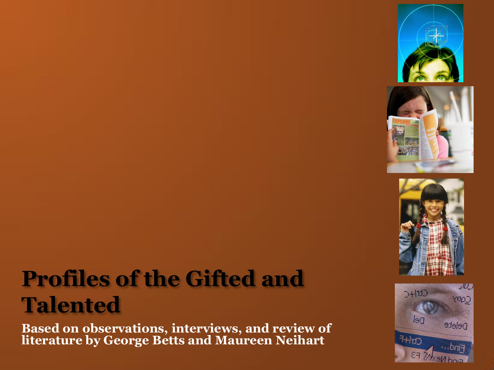





### **Profiles of the Gifted and Talented**

**Based on observations, interviews, and review of literature by George Betts and Maureen Neihart**

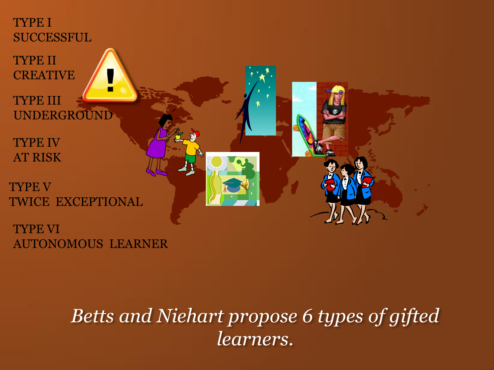

*Betts and Niehart propose 6 types of gifted learners.*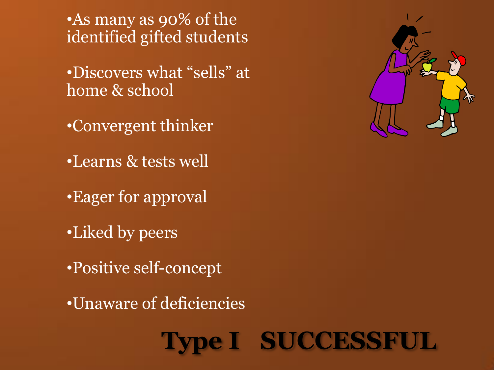•As many as 90% of the identified gifted students

•Discovers what "sells" at home & school

•Convergent thinker

•Learns & tests well

•Eager for approval

•Liked by peers

•Positive self-concept

•Unaware of deficiencies

**Type I SUCCESSFUL**

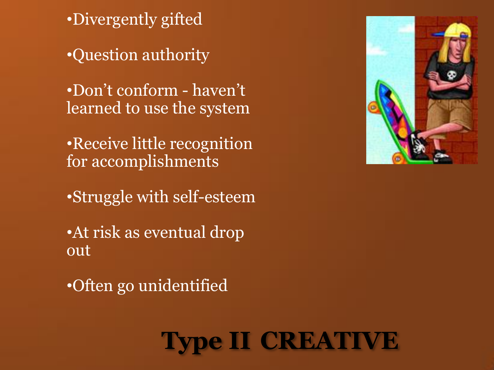•Divergently gifted

•Question authority

•Don't conform - haven't learned to use the system

•Receive little recognition for accomplishments

•Struggle with self-esteem

•At risk as eventual drop out

•Often go unidentified



### **Type II CREATIVE**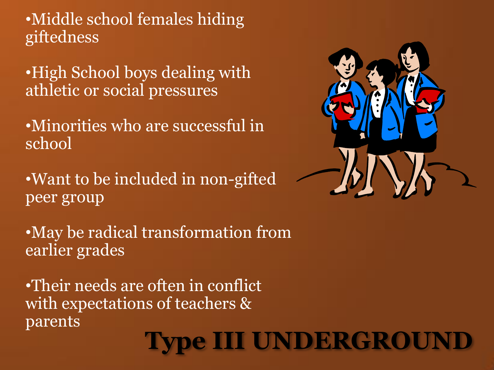•Middle school females hiding giftedness

•High School boys dealing with athletic or social pressures

•Minorities who are successful in school

•Want to be included in non-gifted peer group

•May be radical transformation from earlier grades

•Their needs are often in conflict with expectations of teachers & parents

# **Type III UNDERGROUND**

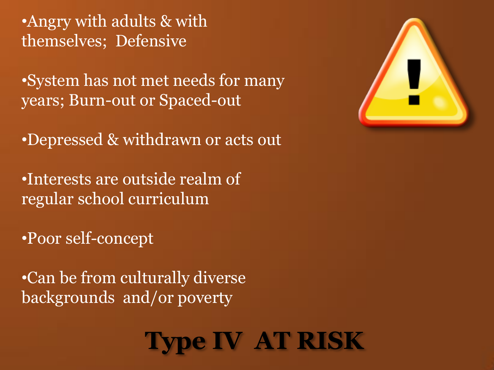•Angry with adults & with themselves; Defensive

•System has not met needs for many years; Burn-out or Spaced-out

•Depressed & withdrawn or acts out

•Interests are outside realm of regular school curriculum

•Poor self-concept

•Can be from culturally diverse backgrounds and/or poverty



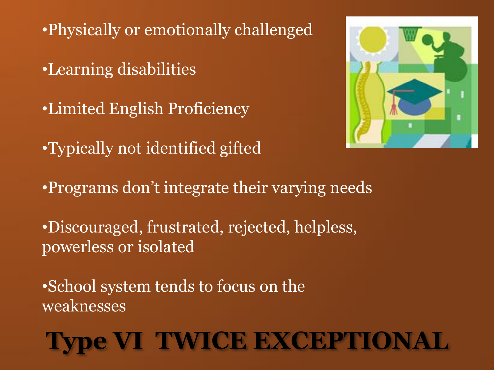•Physically or emotionally challenged

•Learning disabilities

•Limited English Proficiency

•Typically not identified gifted



•Programs don't integrate their varying needs

•Discouraged, frustrated, rejected, helpless, powerless or isolated

•School system tends to focus on the weaknesses

# **Type VI TWICE EXCEPTIONAL**